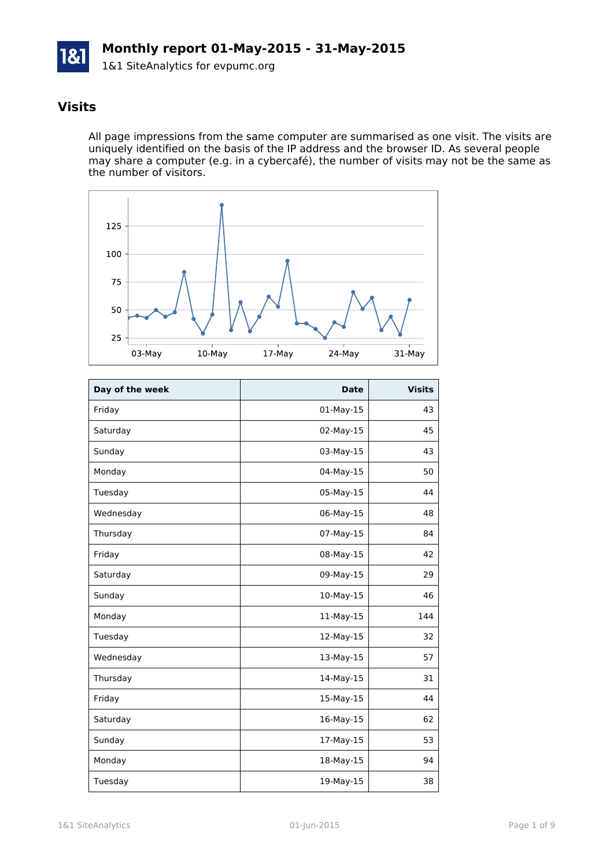

### **Visits**

All page impressions from the same computer are summarised as one visit. The visits are uniquely identified on the basis of the IP address and the browser ID. As several people may share a computer (e.g. in a cybercafé), the number of visits may not be the same as the number of visitors.



| Day of the week | <b>Date</b> | <b>Visits</b> |
|-----------------|-------------|---------------|
| Friday          | 01-May-15   | 43            |
| Saturday        | 02-May-15   | 45            |
| Sunday          | 03-May-15   | 43            |
| Monday          | 04-May-15   | 50            |
| Tuesday         | 05-May-15   | 44            |
| Wednesday       | 06-May-15   | 48            |
| Thursday        | 07-May-15   | 84            |
| Friday          | 08-May-15   | 42            |
| Saturday        | 09-May-15   | 29            |
| Sunday          | 10-May-15   | 46            |
| Monday          | 11-May-15   | 144           |
| Tuesday         | 12-May-15   | 32            |
| Wednesday       | 13-May-15   | 57            |
| Thursday        | 14-May-15   | 31            |
| Friday          | 15-May-15   | 44            |
| Saturday        | 16-May-15   | 62            |
| Sunday          | 17-May-15   | 53            |
| Monday          | 18-May-15   | 94            |
| Tuesday         | 19-May-15   | 38            |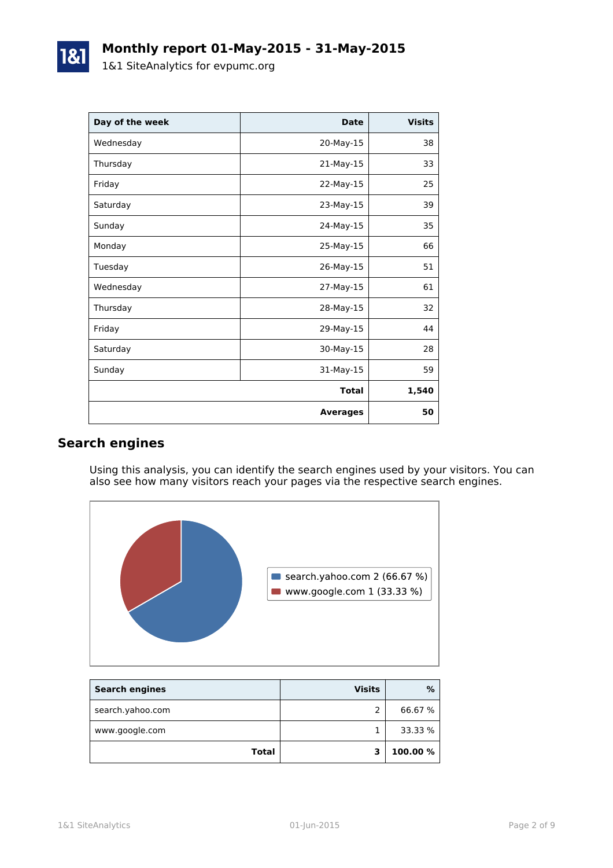| Day of the week | <b>Date</b>     | <b>Visits</b> |
|-----------------|-----------------|---------------|
| Wednesday       | 20-May-15       | 38            |
| Thursday        | 21-May-15       | 33            |
| Friday          | 22-May-15       | 25            |
| Saturday        | 23-May-15       | 39            |
| Sunday          | 24-May-15       | 35            |
| Monday          | 25-May-15       | 66            |
| Tuesday         | 26-May-15       | 51            |
| Wednesday       | 27-May-15       | 61            |
| Thursday        | 28-May-15       | 32            |
| Friday          | 29-May-15       | 44            |
| Saturday        | 30-May-15       | 28            |
| Sunday          | 31-May-15       | 59            |
|                 | <b>Total</b>    | 1,540         |
|                 | <b>Averages</b> | 50            |

### **Search engines**

Using this analysis, you can identify the search engines used by your visitors. You can also see how many visitors reach your pages via the respective search engines.



| <b>Search engines</b> | <b>Visits</b> | %        |
|-----------------------|---------------|----------|
| search.yahoo.com      |               | 66.67 %  |
| www.google.com        |               | 33.33 %  |
| <b>Total</b>          |               | 100.00 % |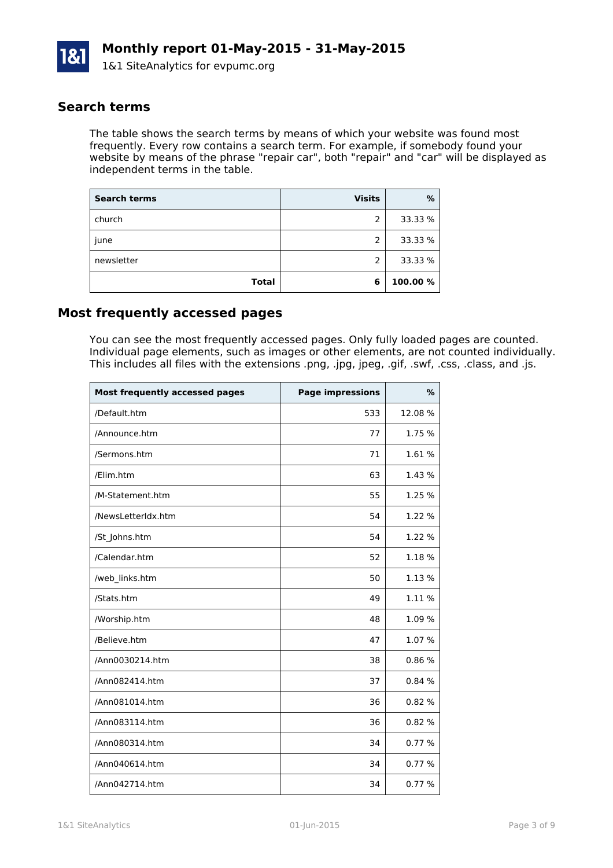

### **Search terms**

The table shows the search terms by means of which your website was found most frequently. Every row contains a search term. For example, if somebody found your website by means of the phrase "repair car", both "repair" and "car" will be displayed as independent terms in the table.

| <b>Search terms</b> | <b>Visits</b>  | %        |
|---------------------|----------------|----------|
| church              | 2              | 33.33 %  |
| june                | $\overline{2}$ | 33.33 %  |
| newsletter          | 2              | 33.33 %  |
| <b>Total</b>        | 6              | 100.00 % |

### **Most frequently accessed pages**

You can see the most frequently accessed pages. Only fully loaded pages are counted. Individual page elements, such as images or other elements, are not counted individually. This includes all files with the extensions .png, .jpg, jpeg, .gif, .swf, .css, .class, and .js.

| <b>Most frequently accessed pages</b> | <b>Page impressions</b> | %      |
|---------------------------------------|-------------------------|--------|
| /Default.htm                          | 533                     | 12.08% |
| /Announce.htm                         | 77                      | 1.75 % |
| /Sermons.htm                          | 71                      | 1.61 % |
| /Elim.htm                             | 63                      | 1.43 % |
| /M-Statement.htm                      | 55                      | 1.25 % |
| /NewsLetterIdx.htm                    | 54                      | 1.22 % |
| /St_Johns.htm                         | 54                      | 1.22 % |
| /Calendar.htm                         | 52                      | 1.18 % |
| /web_links.htm                        | 50                      | 1.13 % |
| /Stats.htm                            | 49                      | 1.11 % |
| /Worship.htm                          | 48                      | 1.09 % |
| /Believe.htm                          | 47                      | 1.07 % |
| /Ann0030214.htm                       | 38                      | 0.86%  |
| /Ann082414.htm                        | 37                      | 0.84%  |
| /Ann081014.htm                        | 36                      | 0.82%  |
| /Ann083114.htm                        | 36                      | 0.82%  |
| /Ann080314.htm                        | 34                      | 0.77%  |
| /Ann040614.htm                        | 34                      | 0.77%  |
| /Ann042714.htm                        | 34                      | 0.77%  |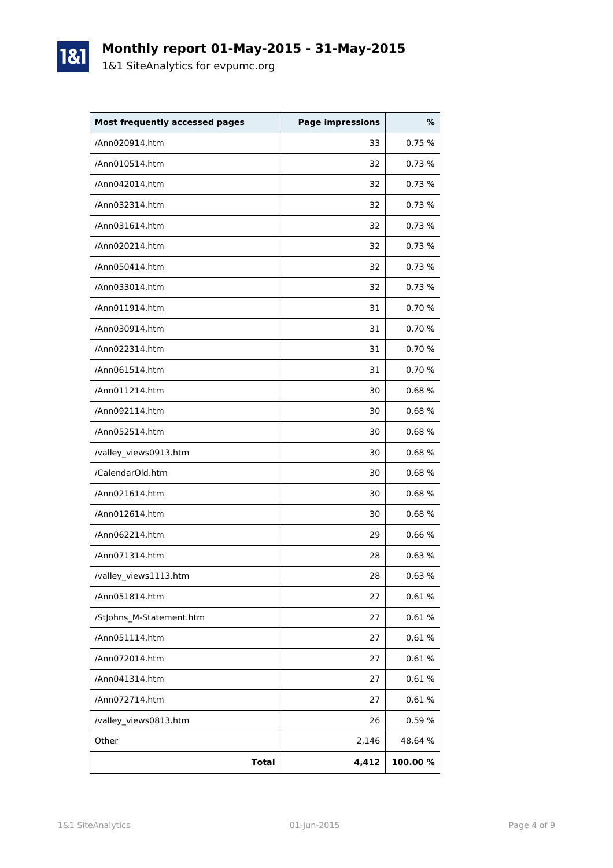

# **Monthly report 01-May-2015 - 31-May-2015**

1&1 SiteAnalytics for evpumc.org

| <b>Most frequently accessed pages</b> | <b>Page impressions</b> | %       |
|---------------------------------------|-------------------------|---------|
| /Ann020914.htm                        | 33                      | 0.75 %  |
| /Ann010514.htm                        | 32                      | 0.73%   |
| /Ann042014.htm                        | 32                      | 0.73%   |
| /Ann032314.htm                        | 32                      | 0.73%   |
| /Ann031614.htm                        | 32                      | 0.73%   |
| /Ann020214.htm                        | 32                      | 0.73 %  |
| /Ann050414.htm                        | 32                      | 0.73%   |
| /Ann033014.htm                        | 32                      | 0.73%   |
| /Ann011914.htm                        | 31                      | 0.70 %  |
| /Ann030914.htm                        | 31                      | 0.70%   |
| /Ann022314.htm                        | 31                      | 0.70 %  |
| /Ann061514.htm                        | 31                      | 0.70 %  |
| /Ann011214.htm                        | 30                      | 0.68%   |
| /Ann092114.htm                        | 30                      | 0.68%   |
| /Ann052514.htm                        | 30                      | 0.68%   |
| /valley_views0913.htm                 | 30                      | 0.68%   |
| /CalendarOld.htm                      | 30                      | 0.68%   |
| /Ann021614.htm                        | 30                      | 0.68%   |
| /Ann012614.htm                        | 30                      | 0.68%   |
| /Ann062214.htm                        | 29                      | 0.66%   |
| /Ann071314.htm                        | 28                      | 0.63%   |
| /valley_views1113.htm                 | 28                      | 0.63%   |
| /Ann051814.htm                        | 27                      | 0.61%   |
| /StJohns_M-Statement.htm              | 27                      | 0.61%   |
| /Ann051114.htm                        | 27                      | 0.61%   |
| /Ann072014.htm                        | 27                      | 0.61%   |
| /Ann041314.htm                        | 27                      | 0.61%   |
| /Ann072714.htm                        | 27                      | 0.61%   |
| /valley_views0813.htm                 | 26                      | 0.59%   |
| Other                                 | 2,146                   | 48.64 % |
| <b>Total</b>                          | 4,412                   | 100.00% |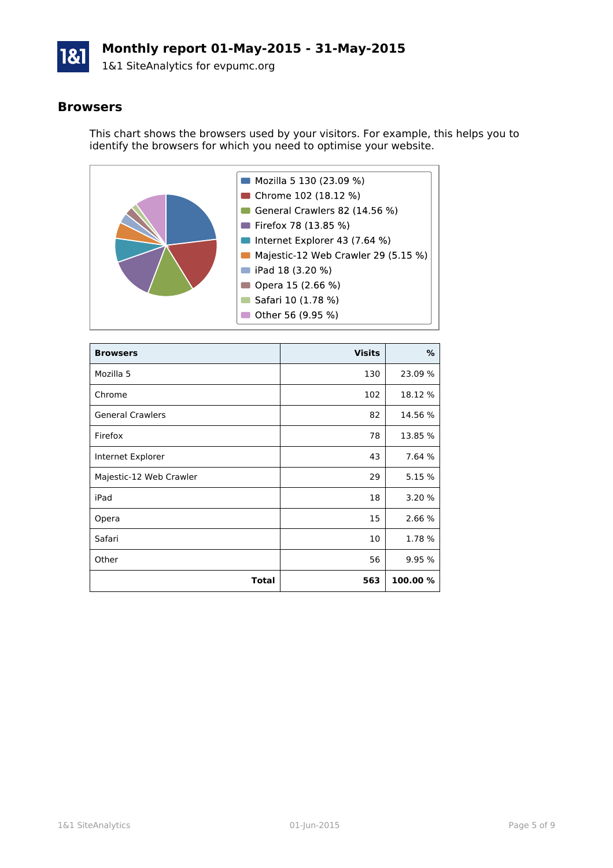

### **Monthly report 01-May-2015 - 31-May-2015**

1&1 SiteAnalytics for evpumc.org

#### **Browsers**

This chart shows the browsers used by your visitors. For example, this helps you to identify the browsers for which you need to optimise your website.



| <b>Browsers</b>         | <b>Visits</b> | %        |
|-------------------------|---------------|----------|
| Mozilla 5               | 130           | 23.09 %  |
| Chrome                  | 102           | 18.12 %  |
| <b>General Crawlers</b> | 82            | 14.56 %  |
| Firefox                 | 78            | 13.85 %  |
| Internet Explorer       | 43            | 7.64 %   |
| Majestic-12 Web Crawler | 29            | 5.15 %   |
| iPad                    | 18            | 3.20 %   |
| Opera                   | 15            | 2.66 %   |
| Safari                  | 10            | 1.78 %   |
| Other                   | 56            | 9.95 %   |
| Total                   | 563           | 100.00 % |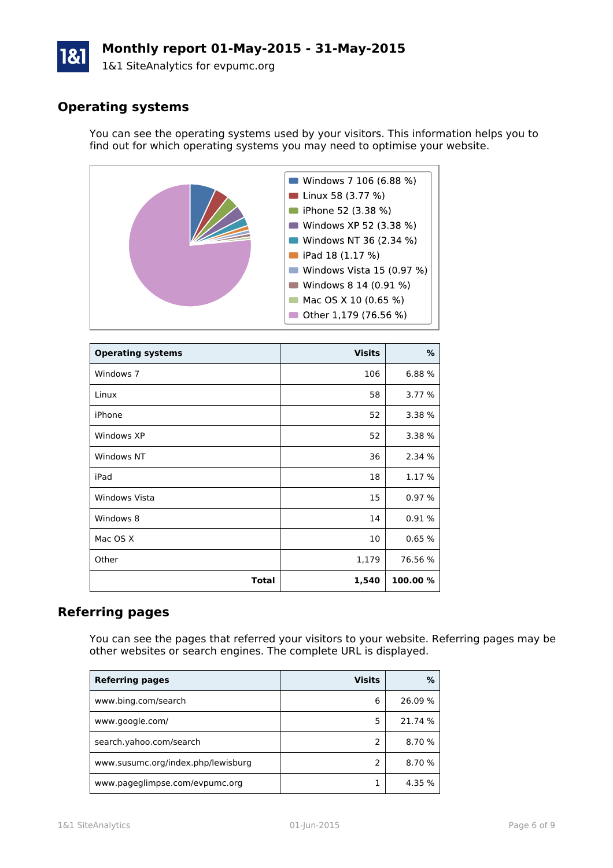# **Monthly report 01-May-2015 - 31-May-2015**

1&1 SiteAnalytics for evpumc.org

## **Operating systems**

You can see the operating systems used by your visitors. This information helps you to find out for which operating systems you may need to optimise your website.



| <b>Operating systems</b> | <b>Visits</b> | %        |
|--------------------------|---------------|----------|
| Windows 7                | 106           | 6.88 %   |
| Linux                    | 58            | 3.77 %   |
| iPhone                   | 52            | 3.38 %   |
| Windows XP               | 52            | 3.38 %   |
| Windows NT               | 36            | 2.34 %   |
| iPad                     | 18            | 1.17 %   |
| <b>Windows Vista</b>     | 15            | 0.97%    |
| Windows 8                | 14            | 0.91%    |
| Mac OS X                 | 10            | 0.65%    |
| Other                    | 1,179         | 76.56 %  |
| <b>Total</b>             | 1,540         | 100.00 % |

### **Referring pages**

You can see the pages that referred your visitors to your website. Referring pages may be other websites or search engines. The complete URL is displayed.

| <b>Referring pages</b>             | <b>Visits</b> | %       |
|------------------------------------|---------------|---------|
| www.bing.com/search                | 6             | 26.09 % |
| www.google.com/                    | 5             | 21.74 % |
| search.yahoo.com/search            |               | 8.70 %  |
| www.susumc.org/index.php/lewisburg |               | 8.70 %  |
| www.pageglimpse.com/evpumc.org     |               | 4.35 %  |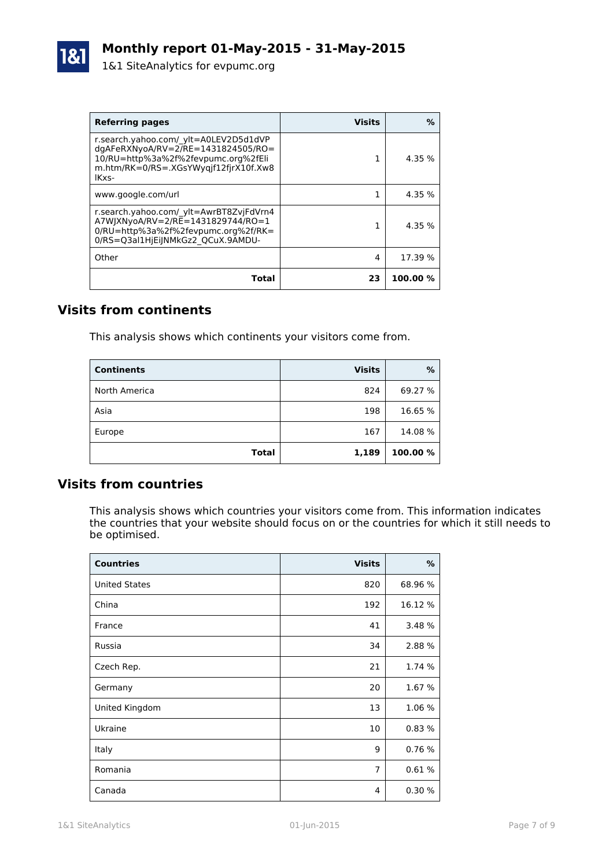| <b>Referring pages</b>                                                                                                                                                  | <b>Visits</b> | ℅       |
|-------------------------------------------------------------------------------------------------------------------------------------------------------------------------|---------------|---------|
| r.search.yahoo.com/ ylt=A0LEV2D5d1dVP<br>$dq$ AFeRXNyoA/RV=2/RE=1431824505/RO=<br>10/RU=http%3a%2f%2fevpumc.org%2fEli<br>m.htm/RK=0/RS=.XGsYWygif12firX10f.Xw8<br>IKxs- |               | 4.35%   |
| www.google.com/url                                                                                                                                                      |               | 4.35 %  |
| r.search.yahoo.com/ ylt=AwrBT8ZvjFdVrn4<br>A7WJXNyoA/RV=2/RE=1431829744/RO=1<br>0/RU=http%3a%2f%2fevpumc.org%2f/RK=<br>0/RS=Q3al1HjEiJNMkGz2 QCuX.9AMDU-                |               | 4.35%   |
| Other                                                                                                                                                                   | 4             | 17.39 % |
| Total                                                                                                                                                                   | 23            | 100.00% |

### **Visits from continents**

This analysis shows which continents your visitors come from.

| <b>Continents</b> | <b>Visits</b> | %        |
|-------------------|---------------|----------|
| North America     | 824           | 69.27 %  |
| Asia              | 198           | 16.65 %  |
| Europe            | 167           | 14.08%   |
| <b>Total</b>      | 1,189         | 100.00 % |

### **Visits from countries**

This analysis shows which countries your visitors come from. This information indicates the countries that your website should focus on or the countries for which it still needs to be optimised.

| <b>Countries</b>     | <b>Visits</b>  | %       |
|----------------------|----------------|---------|
| <b>United States</b> | 820            | 68.96 % |
| China                | 192            | 16.12 % |
| France               | 41             | 3.48 %  |
| Russia               | 34             | 2.88 %  |
| Czech Rep.           | 21             | 1.74 %  |
| Germany              | 20             | 1.67 %  |
| United Kingdom       | 13             | 1.06 %  |
| Ukraine              | 10             | 0.83%   |
| Italy                | 9              | 0.76%   |
| Romania              | $\overline{7}$ | 0.61%   |
| Canada               | 4              | 0.30%   |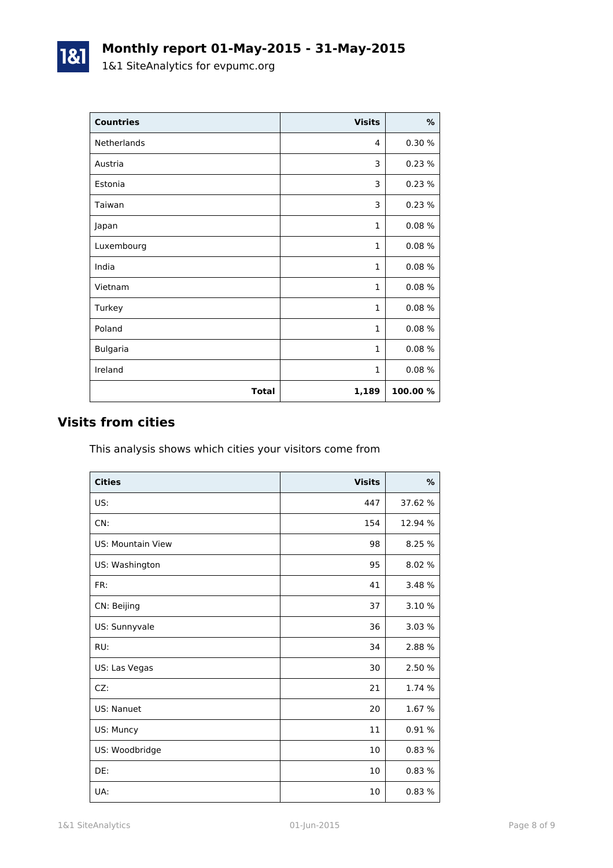| <b>Countries</b> | <b>Visits</b> | $\%$     |
|------------------|---------------|----------|
| Netherlands      | 4             | 0.30 %   |
| Austria          | 3             | 0.23%    |
| Estonia          | 3             | 0.23%    |
| Taiwan           | 3             | 0.23%    |
| Japan            | $\mathbf{1}$  | 0.08%    |
| Luxembourg       | $\mathbf{1}$  | 0.08%    |
| India            | 1             | 0.08%    |
| Vietnam          | $\mathbf{1}$  | 0.08%    |
| Turkey           | $\mathbf{1}$  | 0.08%    |
| Poland           | $\mathbf{1}$  | 0.08%    |
| <b>Bulgaria</b>  | $\mathbf{1}$  | 0.08%    |
| Ireland          | $\mathbf{1}$  | 0.08%    |
| <b>Total</b>     | 1,189         | 100.00 % |

### **Visits from cities**

1&1

This analysis shows which cities your visitors come from

| <b>Cities</b>     | <b>Visits</b> | $\frac{9}{6}$ |
|-------------------|---------------|---------------|
| US:               | 447           | 37.62 %       |
| CN:               | 154           | 12.94 %       |
| US: Mountain View | 98            | 8.25 %        |
| US: Washington    | 95            | 8.02 %        |
| FR:               | 41            | 3.48 %        |
| CN: Beijing       | 37            | 3.10 %        |
| US: Sunnyvale     | 36            | 3.03 %        |
| RU:               | 34            | 2.88 %        |
| US: Las Vegas     | 30            | 2.50 %        |
| CZ:               | 21            | 1.74 %        |
| US: Nanuet        | 20            | 1.67 %        |
| US: Muncy         | 11            | 0.91%         |
| US: Woodbridge    | 10            | 0.83%         |
| DE:               | 10            | 0.83%         |
| UA:               | 10            | 0.83%         |